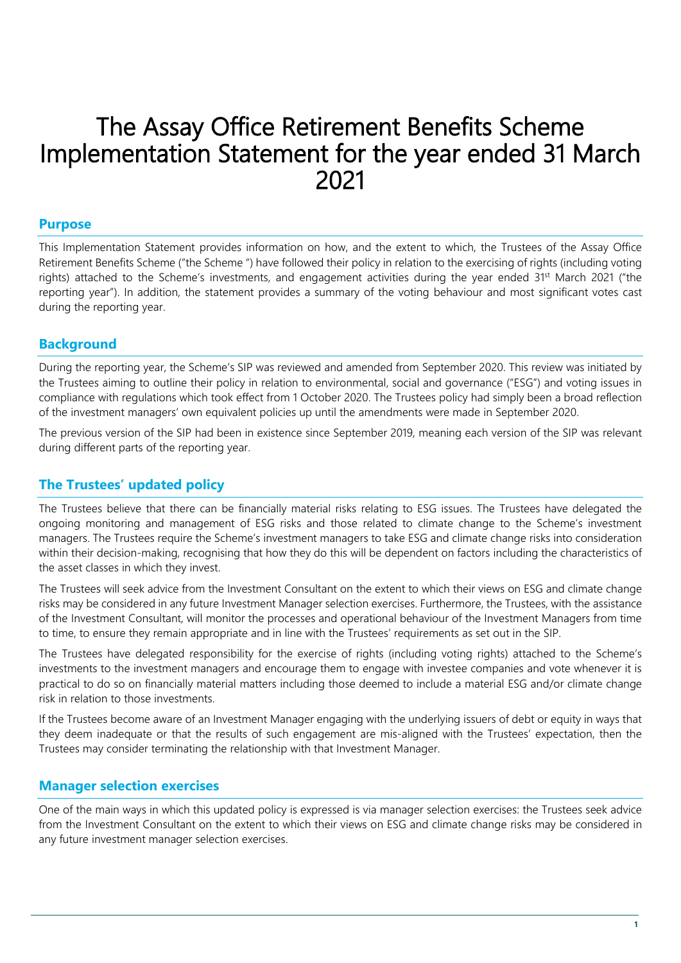# The Assay Office Retirement Benefits Scheme Implementation Statement for the year ended 31 March 2021

## **Purpose**

This Implementation Statement provides information on how, and the extent to which, the Trustees of the Assay Office Retirement Benefits Scheme ("the Scheme ") have followed their policy in relation to the exercising of rights (including voting rights) attached to the Scheme's investments, and engagement activities during the year ended 31st March 2021 ("the reporting year"). In addition, the statement provides a summary of the voting behaviour and most significant votes cast during the reporting year.

## **Background**

During the reporting year, the Scheme's SIP was reviewed and amended from September 2020. This review was initiated by the Trustees aiming to outline their policy in relation to environmental, social and governance ("ESG") and voting issues in compliance with regulations which took effect from 1 October 2020. The Trustees policy had simply been a broad reflection of the investment managers' own equivalent policies up until the amendments were made in September 2020.

The previous version of the SIP had been in existence since September 2019, meaning each version of the SIP was relevant during different parts of the reporting year.

# **The Trustees' updated policy**

The Trustees believe that there can be financially material risks relating to ESG issues. The Trustees have delegated the ongoing monitoring and management of ESG risks and those related to climate change to the Scheme's investment managers. The Trustees require the Scheme's investment managers to take ESG and climate change risks into consideration within their decision-making, recognising that how they do this will be dependent on factors including the characteristics of the asset classes in which they invest.

The Trustees will seek advice from the Investment Consultant on the extent to which their views on ESG and climate change risks may be considered in any future Investment Manager selection exercises. Furthermore, the Trustees, with the assistance of the Investment Consultant, will monitor the processes and operational behaviour of the Investment Managers from time to time, to ensure they remain appropriate and in line with the Trustees' requirements as set out in the SIP.

The Trustees have delegated responsibility for the exercise of rights (including voting rights) attached to the Scheme's investments to the investment managers and encourage them to engage with investee companies and vote whenever it is practical to do so on financially material matters including those deemed to include a material ESG and/or climate change risk in relation to those investments.

If the Trustees become aware of an Investment Manager engaging with the underlying issuers of debt or equity in ways that they deem inadequate or that the results of such engagement are mis-aligned with the Trustees' expectation, then the Trustees may consider terminating the relationship with that Investment Manager.

# **Manager selection exercises**

One of the main ways in which this updated policy is expressed is via manager selection exercises: the Trustees seek advice from the Investment Consultant on the extent to which their views on ESG and climate change risks may be considered in any future investment manager selection exercises.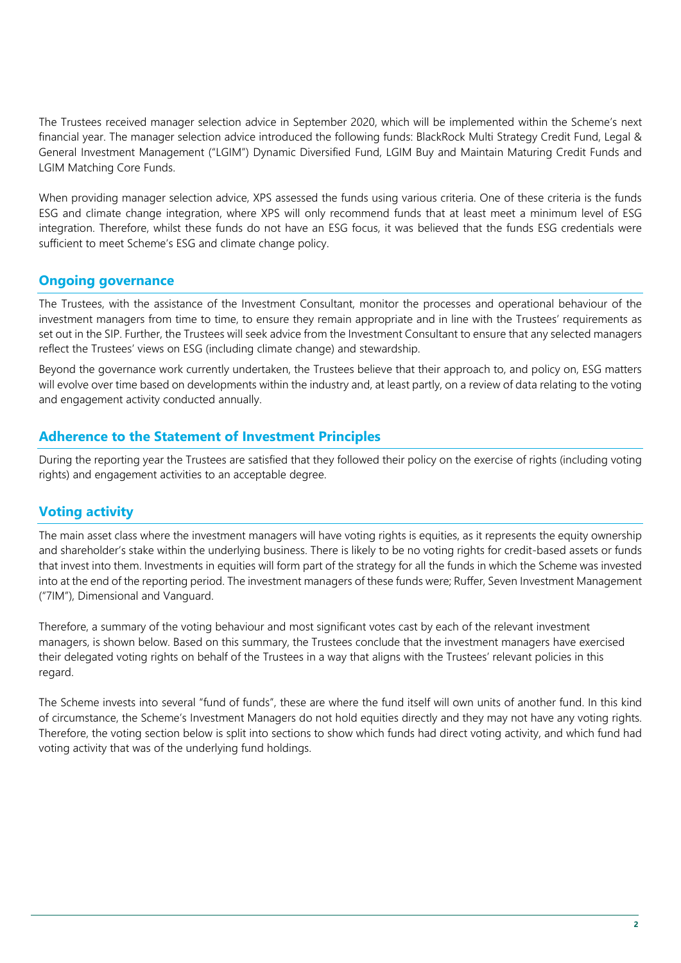The Trustees received manager selection advice in September 2020, which will be implemented within the Scheme's next financial year. The manager selection advice introduced the following funds: BlackRock Multi Strategy Credit Fund, Legal & General Investment Management ("LGIM") Dynamic Diversified Fund, LGIM Buy and Maintain Maturing Credit Funds and LGIM Matching Core Funds.

When providing manager selection advice, XPS assessed the funds using various criteria. One of these criteria is the funds ESG and climate change integration, where XPS will only recommend funds that at least meet a minimum level of ESG integration. Therefore, whilst these funds do not have an ESG focus, it was believed that the funds ESG credentials were sufficient to meet Scheme's ESG and climate change policy.

## **Ongoing governance**

The Trustees, with the assistance of the Investment Consultant, monitor the processes and operational behaviour of the investment managers from time to time, to ensure they remain appropriate and in line with the Trustees' requirements as set out in the SIP. Further, the Trustees will seek advice from the Investment Consultant to ensure that any selected managers reflect the Trustees' views on ESG (including climate change) and stewardship.

Beyond the governance work currently undertaken, the Trustees believe that their approach to, and policy on, ESG matters will evolve over time based on developments within the industry and, at least partly, on a review of data relating to the voting and engagement activity conducted annually.

## **Adherence to the Statement of Investment Principles**

During the reporting year the Trustees are satisfied that they followed their policy on the exercise of rights (including voting rights) and engagement activities to an acceptable degree.

# **Voting activity**

The main asset class where the investment managers will have voting rights is equities, as it represents the equity ownership and shareholder's stake within the underlying business. There is likely to be no voting rights for credit-based assets or funds that invest into them. Investments in equities will form part of the strategy for all the funds in which the Scheme was invested into at the end of the reporting period. The investment managers of these funds were; Ruffer, Seven Investment Management ("7IM"), Dimensional and Vanguard.

Therefore, a summary of the voting behaviour and most significant votes cast by each of the relevant investment managers, is shown below. Based on this summary, the Trustees conclude that the investment managers have exercised their delegated voting rights on behalf of the Trustees in a way that aligns with the Trustees' relevant policies in this regard.

The Scheme invests into several "fund of funds", these are where the fund itself will own units of another fund. In this kind of circumstance, the Scheme's Investment Managers do not hold equities directly and they may not have any voting rights. Therefore, the voting section below is split into sections to show which funds had direct voting activity, and which fund had voting activity that was of the underlying fund holdings.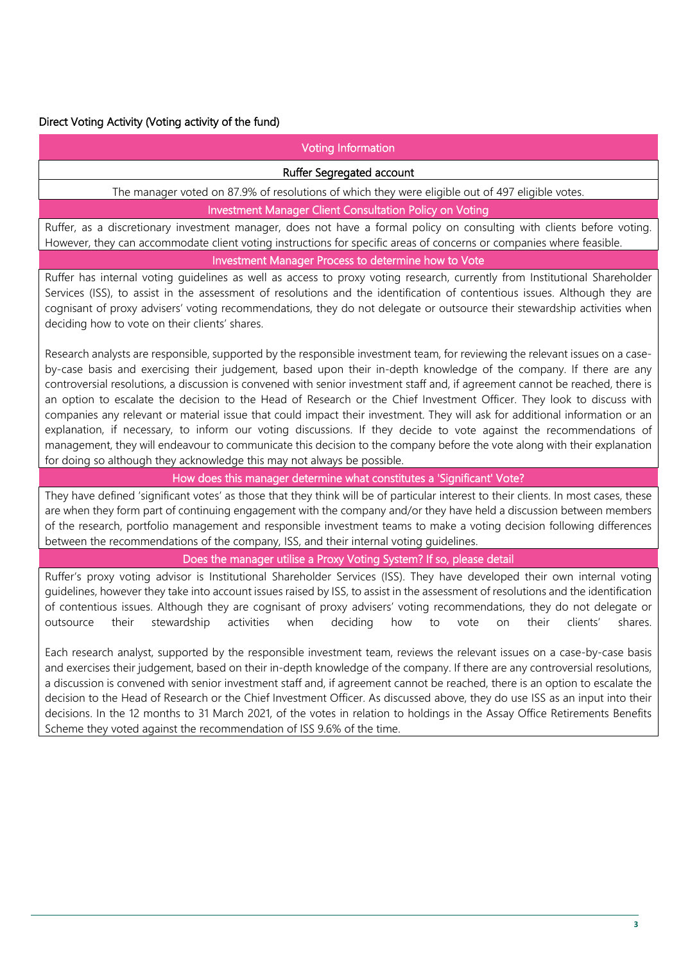### Direct Voting Activity (Voting activity of the fund)

#### Voting Information

#### Ruffer Segregated account

The manager voted on 87.9% of resolutions of which they were eligible out of 497 eligible votes.

#### Investment Manager Client Consultation Policy on Voting

Ruffer, as a discretionary investment manager, does not have a formal policy on consulting with clients before voting. However, they can accommodate client voting instructions for specific areas of concerns or companies where feasible.

#### Investment Manager Process to determine how to Vote

Ruffer has internal voting guidelines as well as access to proxy voting research, currently from Institutional Shareholder Services (ISS), to assist in the assessment of resolutions and the identification of contentious issues. Although they are cognisant of proxy advisers' voting recommendations, they do not delegate or outsource their stewardship activities when deciding how to vote on their clients' shares.

Research analysts are responsible, supported by the responsible investment team, for reviewing the relevant issues on a caseby-case basis and exercising their judgement, based upon their in-depth knowledge of the company. If there are any controversial resolutions, a discussion is convened with senior investment staff and, if agreement cannot be reached, there is an option to escalate the decision to the Head of Research or the Chief Investment Officer. They look to discuss with companies any relevant or material issue that could impact their investment. They will ask for additional information or an explanation, if necessary, to inform our voting discussions. If they decide to vote against the recommendations of management, they will endeavour to communicate this decision to the company before the vote along with their explanation for doing so although they acknowledge this may not always be possible.

#### How does this manager determine what constitutes a 'Significant' Vote?

They have defined 'significant votes' as those that they think will be of particular interest to their clients. In most cases, these are when they form part of continuing engagement with the company and/or they have held a discussion between members of the research, portfolio management and responsible investment teams to make a voting decision following differences between the recommendations of the company, ISS, and their internal voting guidelines.

Does the manager utilise a Proxy Voting System? If so, please detail

Ruffer's proxy voting advisor is Institutional Shareholder Services (ISS). They have developed their own internal voting guidelines, however they take into account issues raised by ISS, to assist in the assessment of resolutions and the identification of contentious issues. Although they are cognisant of proxy advisers' voting recommendations, they do not delegate or outsource their stewardship activities when deciding how to vote on their clients' shares.

Each research analyst, supported by the responsible investment team, reviews the relevant issues on a case-by-case basis and exercises their judgement, based on their in-depth knowledge of the company. If there are any controversial resolutions, a discussion is convened with senior investment staff and, if agreement cannot be reached, there is an option to escalate the decision to the Head of Research or the Chief Investment Officer. As discussed above, they do use ISS as an input into their decisions. In the 12 months to 31 March 2021, of the votes in relation to holdings in the Assay Office Retirements Benefits Scheme they voted against the recommendation of ISS 9.6% of the time.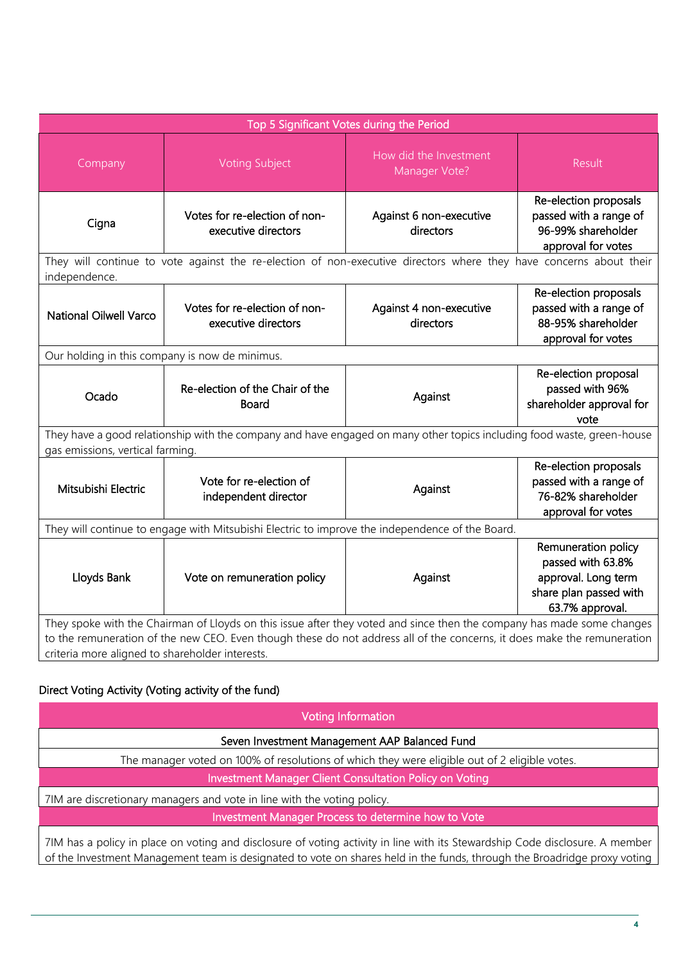| Top 5 Significant Votes during the Period                                                                                                                                                                                                                                                            |                                                      |                                         |                                                                                                              |
|------------------------------------------------------------------------------------------------------------------------------------------------------------------------------------------------------------------------------------------------------------------------------------------------------|------------------------------------------------------|-----------------------------------------|--------------------------------------------------------------------------------------------------------------|
| Company                                                                                                                                                                                                                                                                                              | <b>Voting Subject</b>                                | How did the Investment<br>Manager Vote? | Result                                                                                                       |
| Cigna                                                                                                                                                                                                                                                                                                | Votes for re-election of non-<br>executive directors | Against 6 non-executive<br>directors    | Re-election proposals<br>passed with a range of<br>96-99% shareholder<br>approval for votes                  |
| They will continue to vote against the re-election of non-executive directors where they have concerns about their<br>independence.                                                                                                                                                                  |                                                      |                                         |                                                                                                              |
| <b>National Oilwell Varco</b>                                                                                                                                                                                                                                                                        | Votes for re-election of non-<br>executive directors | Against 4 non-executive<br>directors    | Re-election proposals<br>passed with a range of<br>88-95% shareholder<br>approval for votes                  |
| Our holding in this company is now de minimus.                                                                                                                                                                                                                                                       |                                                      |                                         |                                                                                                              |
| Ocado                                                                                                                                                                                                                                                                                                | Re-election of the Chair of the<br>Board             | Against                                 | Re-election proposal<br>passed with 96%<br>shareholder approval for<br>vote                                  |
| They have a good relationship with the company and have engaged on many other topics including food waste, green-house<br>gas emissions, vertical farming.                                                                                                                                           |                                                      |                                         |                                                                                                              |
| Mitsubishi Electric                                                                                                                                                                                                                                                                                  | Vote for re-election of<br>independent director      | Against                                 | Re-election proposals<br>passed with a range of<br>76-82% shareholder<br>approval for votes                  |
| They will continue to engage with Mitsubishi Electric to improve the independence of the Board.                                                                                                                                                                                                      |                                                      |                                         |                                                                                                              |
| Lloyds Bank                                                                                                                                                                                                                                                                                          | Vote on remuneration policy                          | Against                                 | Remuneration policy<br>passed with 63.8%<br>approval. Long term<br>share plan passed with<br>63.7% approval. |
| They spoke with the Chairman of Lloyds on this issue after they voted and since then the company has made some changes<br>to the remuneration of the new CEO. Even though these do not address all of the concerns, it does make the remuneration<br>criteria more aligned to shareholder interests. |                                                      |                                         |                                                                                                              |

# Direct Voting Activity (Voting activity of the fund)

| <b>Voting Information</b>                                                                                                    |  |  |
|------------------------------------------------------------------------------------------------------------------------------|--|--|
| Seven Investment Management AAP Balanced Fund                                                                                |  |  |
| The manager voted on 100% of resolutions of which they were eligible out of 2 eligible votes.                                |  |  |
| Investment Manager Client Consultation Policy on Voting                                                                      |  |  |
| 7IM are discretionary managers and vote in line with the voting policy.                                                      |  |  |
| Investment Manager Process to determine how to Vote                                                                          |  |  |
| 7IM has a policy in place on voting and disclosure of voting activity in line with its Stewardship Code disclosure. A member |  |  |

of the Investment Management team is designated to vote on shares held in the funds, through the Broadridge proxy voting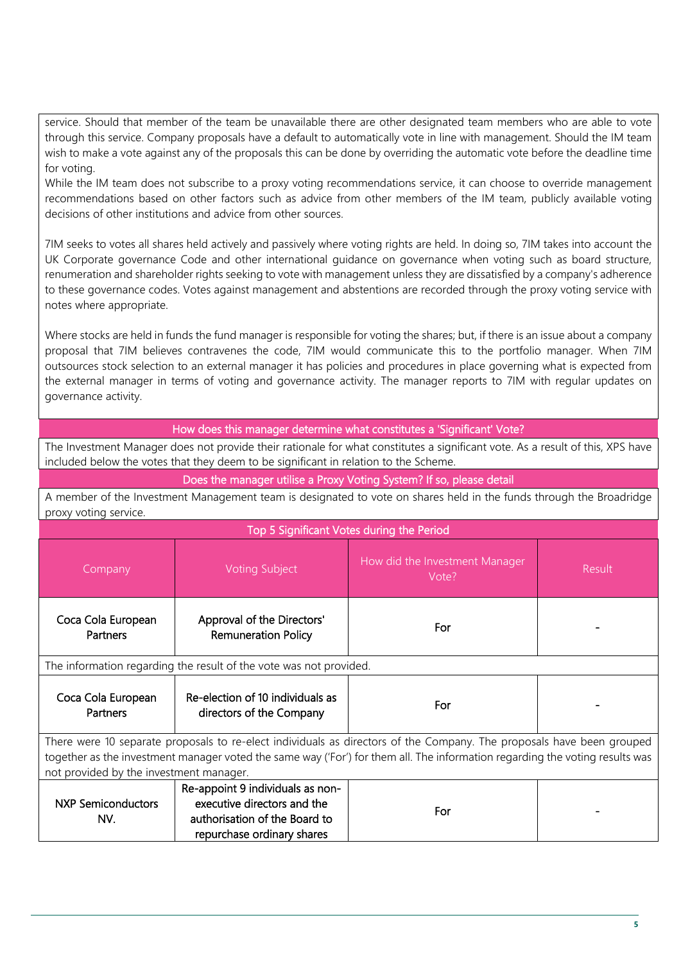service. Should that member of the team be unavailable there are other designated team members who are able to vote through this service. Company proposals have a default to automatically vote in line with management. Should the IM team wish to make a vote against any of the proposals this can be done by overriding the automatic vote before the deadline time for voting.

While the IM team does not subscribe to a proxy voting recommendations service, it can choose to override management recommendations based on other factors such as advice from other members of the IM team, publicly available voting decisions of other institutions and advice from other sources.

7IM seeks to votes all shares held actively and passively where voting rights are held. In doing so, 7IM takes into account the UK Corporate governance Code and other international guidance on governance when voting such as board structure, renumeration and shareholder rights seeking to vote with management unless they are dissatisfied by a company's adherence to these governance codes. Votes against management and abstentions are recorded through the proxy voting service with notes where appropriate.

Where stocks are held in funds the fund manager is responsible for voting the shares; but, if there is an issue about a company proposal that 7IM believes contravenes the code, 7IM would communicate this to the portfolio manager. When 7IM outsources stock selection to an external manager it has policies and procedures in place governing what is expected from the external manager in terms of voting and governance activity. The manager reports to 7IM with regular updates on governance activity.

#### How does this manager determine what constitutes a 'Significant' Vote?

The Investment Manager does not provide their rationale for what constitutes a significant vote. As a result of this, XPS have included below the votes that they deem to be significant in relation to the Scheme.

Does the manager utilise a Proxy Voting System? If so, please detail

A member of the Investment Management team is designated to vote on shares held in the funds through the Broadridge proxy voting service.

| Top 5 Significant Votes during the Period                                                                                                                                                                                                                                                        |                                                                                                                                |                                         |        |
|--------------------------------------------------------------------------------------------------------------------------------------------------------------------------------------------------------------------------------------------------------------------------------------------------|--------------------------------------------------------------------------------------------------------------------------------|-----------------------------------------|--------|
| Company                                                                                                                                                                                                                                                                                          | <b>Voting Subject</b>                                                                                                          | How did the Investment Manager<br>Vote? | Result |
| Coca Cola European<br>Partners                                                                                                                                                                                                                                                                   | Approval of the Directors'<br><b>Remuneration Policy</b>                                                                       | For                                     |        |
| The information regarding the result of the vote was not provided.                                                                                                                                                                                                                               |                                                                                                                                |                                         |        |
| Coca Cola European<br><b>Partners</b>                                                                                                                                                                                                                                                            | Re-election of 10 individuals as<br>directors of the Company                                                                   | For                                     |        |
| There were 10 separate proposals to re-elect individuals as directors of the Company. The proposals have been grouped<br>together as the investment manager voted the same way ('For') for them all. The information regarding the voting results was<br>not provided by the investment manager. |                                                                                                                                |                                         |        |
| <b>NXP Semiconductors</b><br>NV.                                                                                                                                                                                                                                                                 | Re-appoint 9 individuals as non-<br>executive directors and the<br>authorisation of the Board to<br>repurchase ordinary shares | For                                     |        |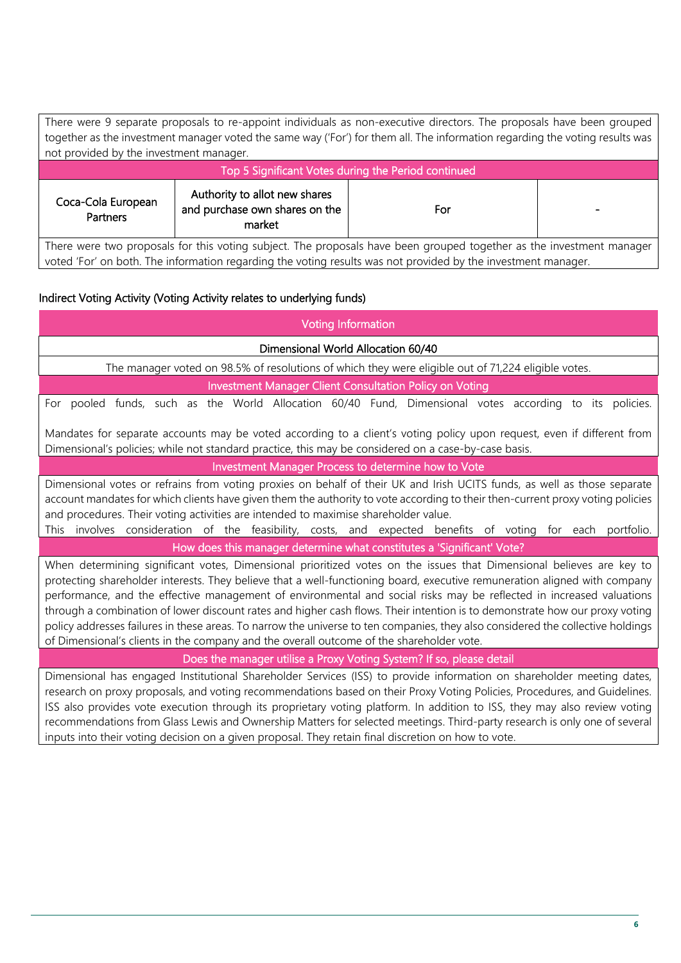| There were 9 separate proposals to re-appoint individuals as non-executive directors. The proposals have been grouped        |                                                                           |     |  |
|------------------------------------------------------------------------------------------------------------------------------|---------------------------------------------------------------------------|-----|--|
| together as the investment manager voted the same way ('For') for them all. The information regarding the voting results was |                                                                           |     |  |
| not provided by the investment manager.                                                                                      |                                                                           |     |  |
| Top 5 Significant Votes during the Period continued                                                                          |                                                                           |     |  |
| Coca-Cola European<br>Partners                                                                                               | Authority to allot new shares<br>and purchase own shares on the<br>market | For |  |

There were two proposals for this voting subject. The proposals have been grouped together as the investment manager voted 'For' on both. The information regarding the voting results was not provided by the investment manager.

## Indirect Voting Activity (Voting Activity relates to underlying funds)

| <b>Voting Information</b>                                                                                                                                                                                                                                                                                                                                                                                                                                                                                                                                                                                                                                                                                                               |  |  |  |
|-----------------------------------------------------------------------------------------------------------------------------------------------------------------------------------------------------------------------------------------------------------------------------------------------------------------------------------------------------------------------------------------------------------------------------------------------------------------------------------------------------------------------------------------------------------------------------------------------------------------------------------------------------------------------------------------------------------------------------------------|--|--|--|
| Dimensional World Allocation 60/40                                                                                                                                                                                                                                                                                                                                                                                                                                                                                                                                                                                                                                                                                                      |  |  |  |
| The manager voted on 98.5% of resolutions of which they were eligible out of 71,224 eligible votes.                                                                                                                                                                                                                                                                                                                                                                                                                                                                                                                                                                                                                                     |  |  |  |
| Investment Manager Client Consultation Policy on Voting                                                                                                                                                                                                                                                                                                                                                                                                                                                                                                                                                                                                                                                                                 |  |  |  |
| For pooled funds, such as the World Allocation 60/40 Fund, Dimensional votes according to its policies.                                                                                                                                                                                                                                                                                                                                                                                                                                                                                                                                                                                                                                 |  |  |  |
| Mandates for separate accounts may be voted according to a client's voting policy upon request, even if different from<br>Dimensional's policies; while not standard practice, this may be considered on a case-by-case basis.                                                                                                                                                                                                                                                                                                                                                                                                                                                                                                          |  |  |  |
| Investment Manager Process to determine how to Vote                                                                                                                                                                                                                                                                                                                                                                                                                                                                                                                                                                                                                                                                                     |  |  |  |
| Dimensional votes or refrains from voting proxies on behalf of their UK and Irish UCITS funds, as well as those separate<br>account mandates for which clients have given them the authority to vote according to their then-current proxy voting policies<br>and procedures. Their voting activities are intended to maximise shareholder value.<br>This involves consideration of the feasibility, costs, and expected benefits of voting for each portfolio.                                                                                                                                                                                                                                                                         |  |  |  |
| How does this manager determine what constitutes a 'Significant' Vote?                                                                                                                                                                                                                                                                                                                                                                                                                                                                                                                                                                                                                                                                  |  |  |  |
| When determining significant votes, Dimensional prioritized votes on the issues that Dimensional believes are key to<br>protecting shareholder interests. They believe that a well-functioning board, executive remuneration aligned with company<br>performance, and the effective management of environmental and social risks may be reflected in increased valuations<br>through a combination of lower discount rates and higher cash flows. Their intention is to demonstrate how our proxy voting<br>policy addresses failures in these areas. To narrow the universe to ten companies, they also considered the collective holdings<br>of Dimensional's clients in the company and the overall outcome of the shareholder vote. |  |  |  |
| Does the manager utilise a Proxy Voting System? If so, please detail                                                                                                                                                                                                                                                                                                                                                                                                                                                                                                                                                                                                                                                                    |  |  |  |
| Dimensional has engaged Institutional Shareholder Services (ISS) to provide information on shareholder meeting dates,<br>research on proxy proposals, and voting recommendations based on their Proxy Voting Policies, Procedures, and Guidelines.<br>ISS also provides vote execution through its proprietary voting platform. In addition to ISS, they may also review voting<br>recommendations from Glass Lewis and Ownership Matters for selected meetings. Third-party research is only one of several                                                                                                                                                                                                                            |  |  |  |

inputs into their voting decision on a given proposal. They retain final discretion on how to vote.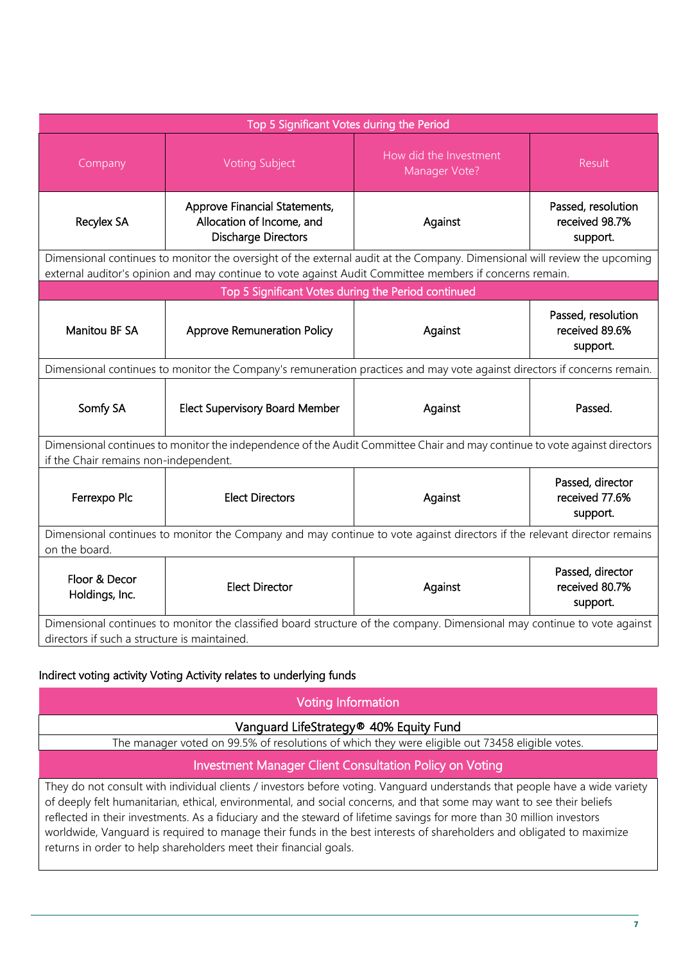| Top 5 Significant Votes during the Period                                                                                                                                                                                            |                                                                                                                          |                                         |                                                  |
|--------------------------------------------------------------------------------------------------------------------------------------------------------------------------------------------------------------------------------------|--------------------------------------------------------------------------------------------------------------------------|-----------------------------------------|--------------------------------------------------|
| Company                                                                                                                                                                                                                              | <b>Voting Subject</b>                                                                                                    | How did the Investment<br>Manager Vote? | Result                                           |
| <b>Recylex SA</b>                                                                                                                                                                                                                    | Approve Financial Statements,<br>Allocation of Income, and<br><b>Discharge Directors</b>                                 | Against                                 | Passed, resolution<br>received 98.7%<br>support. |
| Dimensional continues to monitor the oversight of the external audit at the Company. Dimensional will review the upcoming<br>external auditor's opinion and may continue to vote against Audit Committee members if concerns remain. |                                                                                                                          |                                         |                                                  |
|                                                                                                                                                                                                                                      | Top 5 Significant Votes during the Period continued                                                                      |                                         |                                                  |
| <b>Manitou BF SA</b>                                                                                                                                                                                                                 | <b>Approve Remuneration Policy</b>                                                                                       | Against                                 | Passed, resolution<br>received 89.6%<br>support. |
|                                                                                                                                                                                                                                      | Dimensional continues to monitor the Company's remuneration practices and may vote against directors if concerns remain. |                                         |                                                  |
| Somfy SA                                                                                                                                                                                                                             | <b>Elect Supervisory Board Member</b>                                                                                    | Against                                 | Passed.                                          |
| Dimensional continues to monitor the independence of the Audit Committee Chair and may continue to vote against directors<br>if the Chair remains non-independent.                                                                   |                                                                                                                          |                                         |                                                  |
| Ferrexpo Plc                                                                                                                                                                                                                         | <b>Elect Directors</b>                                                                                                   | Against                                 | Passed, director<br>received 77.6%<br>support.   |
| Dimensional continues to monitor the Company and may continue to vote against directors if the relevant director remains<br>on the board.                                                                                            |                                                                                                                          |                                         |                                                  |
| Floor & Decor<br>Holdings, Inc.                                                                                                                                                                                                      | <b>Elect Director</b>                                                                                                    | Against                                 | Passed, director<br>received 80.7%<br>support.   |
| Dimensional continues to monitor the classified board structure of the company. Dimensional may continue to vote against<br>directors if such a structure is maintained.                                                             |                                                                                                                          |                                         |                                                  |

## Indirect voting activity Voting Activity relates to underlying funds

| Voting Information                                                                                                                                                                                                                                                                                                                                                           |  |  |  |
|------------------------------------------------------------------------------------------------------------------------------------------------------------------------------------------------------------------------------------------------------------------------------------------------------------------------------------------------------------------------------|--|--|--|
| Vanguard LifeStrategy® 40% Equity Fund                                                                                                                                                                                                                                                                                                                                       |  |  |  |
| The manager voted on 99.5% of resolutions of which they were eligible out 73458 eligible votes.                                                                                                                                                                                                                                                                              |  |  |  |
| <b>Investment Manager Client Consultation Policy on Voting</b>                                                                                                                                                                                                                                                                                                               |  |  |  |
| They do not consult with individual clients / investors before voting. Vanguard understands that people have a wide variety<br>of deeply felt humanitarian, ethical, environmental, and social concerns, and that some may want to see their beliefs<br>reflected in their investments. As a fiducian und the steward of lifetime sayings for more than 20 million investors |  |  |  |

of deeply felt humanitarian, ethical, environmental, and social concerns, and that some may want to see their beliefs reflected in their investments. As a fiduciary and the steward of lifetime savings for more than 30 million investors worldwide, Vanguard is required to manage their funds in the best interests of shareholders and obligated to maximize returns in order to help shareholders meet their financial goals.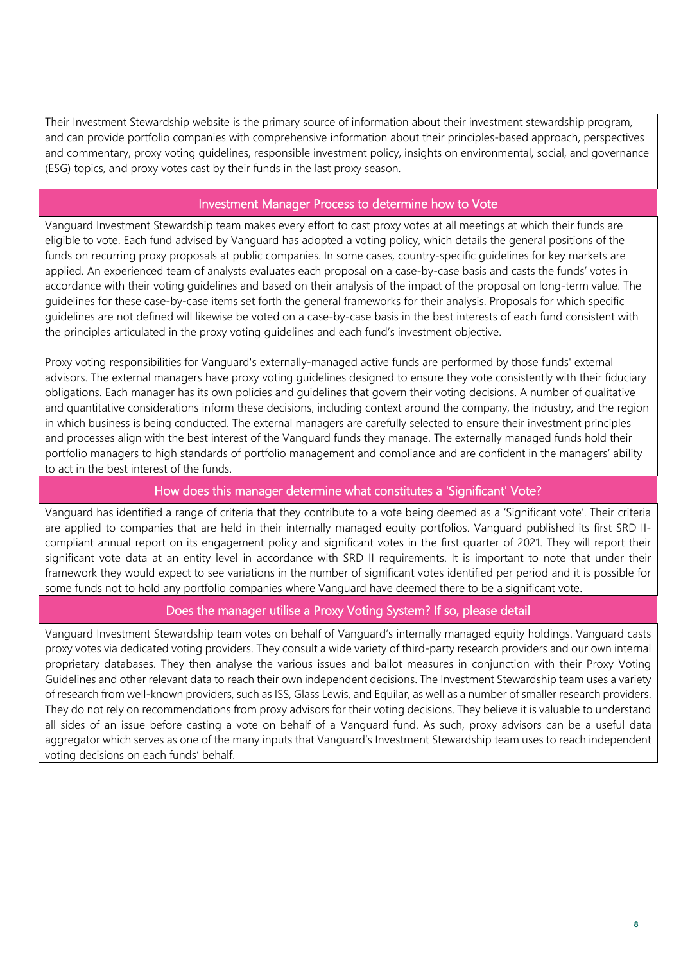Their Investment Stewardship website is the primary source of information about their investment stewardship program, and can provide portfolio companies with comprehensive information about their principles-based approach, perspectives and commentary, proxy voting guidelines, responsible investment policy, insights on environmental, social, and governance (ESG) topics, and proxy votes cast by their funds in the last proxy season.

## Investment Manager Process to determine how to Vote

Vanguard Investment Stewardship team makes every effort to cast proxy votes at all meetings at which their funds are eligible to vote. Each fund advised by Vanguard has adopted a voting policy, which details the general positions of the funds on recurring proxy proposals at public companies. In some cases, country-specific guidelines for key markets are applied. An experienced team of analysts evaluates each proposal on a case-by-case basis and casts the funds' votes in accordance with their voting guidelines and based on their analysis of the impact of the proposal on long-term value. The guidelines for these case-by-case items set forth the general frameworks for their analysis. Proposals for which specific guidelines are not defined will likewise be voted on a case-by-case basis in the best interests of each fund consistent with the principles articulated in the proxy voting guidelines and each fund's investment objective.

Proxy voting responsibilities for Vanguard's externally-managed active funds are performed by those funds' external advisors. The external managers have proxy voting guidelines designed to ensure they vote consistently with their fiduciary obligations. Each manager has its own policies and guidelines that govern their voting decisions. A number of qualitative and quantitative considerations inform these decisions, including context around the company, the industry, and the region in which business is being conducted. The external managers are carefully selected to ensure their investment principles and processes align with the best interest of the Vanguard funds they manage. The externally managed funds hold their portfolio managers to high standards of portfolio management and compliance and are confident in the managers' ability to act in the best interest of the funds.

## How does this manager determine what constitutes a 'Significant' Vote?

Vanguard has identified a range of criteria that they contribute to a vote being deemed as a 'Significant vote'. Their criteria are applied to companies that are held in their internally managed equity portfolios. Vanguard published its first SRD IIcompliant annual report on its engagement policy and significant votes in the first quarter of 2021. They will report their significant vote data at an entity level in accordance with SRD II requirements. It is important to note that under their framework they would expect to see variations in the number of significant votes identified per period and it is possible for some funds not to hold any portfolio companies where Vanguard have deemed there to be a significant vote.

## Does the manager utilise a Proxy Voting System? If so, please detail

Vanguard Investment Stewardship team votes on behalf of Vanguard's internally managed equity holdings. Vanguard casts proxy votes via dedicated voting providers. They consult a wide variety of third-party research providers and our own internal proprietary databases. They then analyse the various issues and ballot measures in conjunction with their Proxy Voting Guidelines and other relevant data to reach their own independent decisions. The Investment Stewardship team uses a variety of research from well-known providers, such as ISS, Glass Lewis, and Equilar, as well as a number of smaller research providers. They do not rely on recommendations from proxy advisors for their voting decisions. They believe it is valuable to understand all sides of an issue before casting a vote on behalf of a Vanguard fund. As such, proxy advisors can be a useful data aggregator which serves as one of the many inputs that Vanguard's Investment Stewardship team uses to reach independent voting decisions on each funds' behalf.